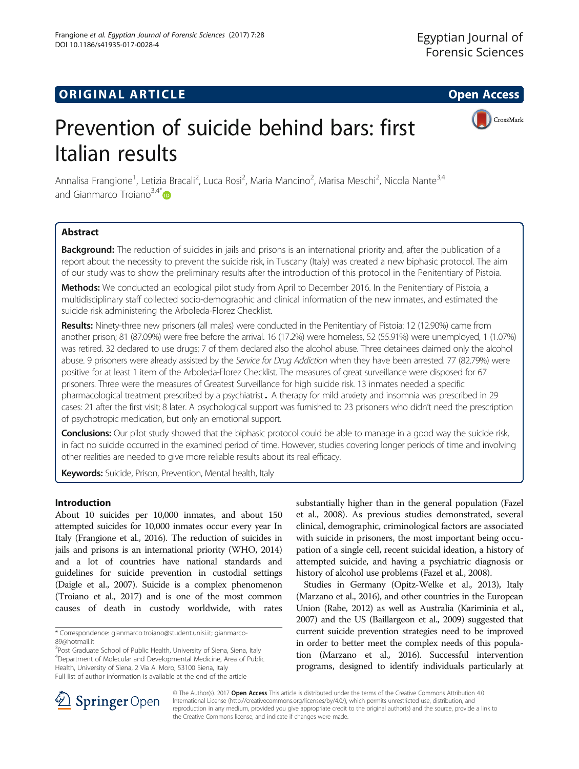## **ORIGINAL ARTICLE CONSERVANCE IN A LOCAL CONSERVANCE IN A LOCAL CONSERVANCE IN A LOCAL CONSERVANCE IN A LOCAL CONS**



# Prevention of suicide behind bars: first Italian results

Annalisa Frangione<sup>1</sup>, Letizia Bracali<sup>2</sup>, Luca Rosi<sup>2</sup>, Maria Mancino<sup>2</sup>, Marisa Meschi<sup>2</sup>, Nicola Nante<sup>3,4</sup> and Gianmarco Troiano $3,4^*$  $3,4^*$ 

## Abstract

Background: The reduction of suicides in jails and prisons is an international priority and, after the publication of a report about the necessity to prevent the suicide risk, in Tuscany (Italy) was created a new biphasic protocol. The aim of our study was to show the preliminary results after the introduction of this protocol in the Penitentiary of Pistoia.

Methods: We conducted an ecological pilot study from April to December 2016. In the Penitentiary of Pistoia, a multidisciplinary staff collected socio-demographic and clinical information of the new inmates, and estimated the suicide risk administering the Arboleda-Florez Checklist.

Results: Ninety-three new prisoners (all males) were conducted in the Penitentiary of Pistoia: 12 (12.90%) came from another prison; 81 (87.09%) were free before the arrival. 16 (17.2%) were homeless, 52 (55.91%) were unemployed, 1 (1.07%) was retired. 32 declared to use drugs; 7 of them declared also the alcohol abuse. Three detainees claimed only the alcohol abuse. 9 prisoners were already assisted by the Service for Drug Addiction when they have been arrested. 77 (82.79%) were positive for at least 1 item of the Arboleda-Florez Checklist. The measures of great surveillance were disposed for 67 prisoners. Three were the measures of Greatest Surveillance for high suicide risk. 13 inmates needed a specific pharmacological treatment prescribed by a psychiatrist. A therapy for mild anxiety and insomnia was prescribed in 29 cases: 21 after the first visit; 8 later. A psychological support was furnished to 23 prisoners who didn't need the prescription of psychotropic medication, but only an emotional support.

**Conclusions:** Our pilot study showed that the biphasic protocol could be able to manage in a good way the suicide risk, in fact no suicide occurred in the examined period of time. However, studies covering longer periods of time and involving other realities are needed to give more reliable results about its real efficacy.

Keywords: Suicide, Prison, Prevention, Mental health, Italy

## Introduction

About 10 suicides per 10,000 inmates, and about 150 attempted suicides for 10,000 inmates occur every year In Italy (Frangione et al., [2016](#page-4-0)). The reduction of suicides in jails and prisons is an international priority (WHO, [2014](#page-4-0)) and a lot of countries have national standards and guidelines for suicide prevention in custodial settings (Daigle et al., [2007](#page-3-0)). Suicide is a complex phenomenon (Troiano et al., [2017\)](#page-4-0) and is one of the most common causes of death in custody worldwide, with rates

<sup>3</sup>Post Graduate School of Public Health, University of Siena, Siena, Italy 4 Department of Molecular and Developmental Medicine, Area of Public Health, University of Siena, 2 Via A. Moro, 53100 Siena, Italy Full list of author information is available at the end of the article

substantially higher than in the general population (Fazel et al., [2008](#page-3-0)). As previous studies demonstrated, several clinical, demographic, criminological factors are associated with suicide in prisoners, the most important being occupation of a single cell, recent suicidal ideation, a history of attempted suicide, and having a psychiatric diagnosis or history of alcohol use problems (Fazel et al., [2008](#page-3-0)).

Studies in Germany (Opitz-Welke et al., [2013\)](#page-4-0), Italy (Marzano et al., [2016\)](#page-4-0), and other countries in the European Union (Rabe, [2012\)](#page-4-0) as well as Australia (Kariminia et al., [2007\)](#page-4-0) and the US (Baillargeon et al., [2009\)](#page-3-0) suggested that current suicide prevention strategies need to be improved in order to better meet the complex needs of this population (Marzano et al., [2016\)](#page-4-0). Successful intervention programs, designed to identify individuals particularly at



© The Author(s). 2017 **Open Access** This article is distributed under the terms of the Creative Commons Attribution 4.0 International License ([http://creativecommons.org/licenses/by/4.0/\)](http://creativecommons.org/licenses/by/4.0/), which permits unrestricted use, distribution, and reproduction in any medium, provided you give appropriate credit to the original author(s) and the source, provide a link to the Creative Commons license, and indicate if changes were made.

<sup>\*</sup> Correspondence: [gianmarco.troiano@student.unisi.it](mailto:gianmarco.troiano@student.unisi.it); [gianmarco-](mailto:gianmarco-89@hotmail.it)

[<sup>89@</sup>hotmail.it](mailto:gianmarco-89@hotmail.it)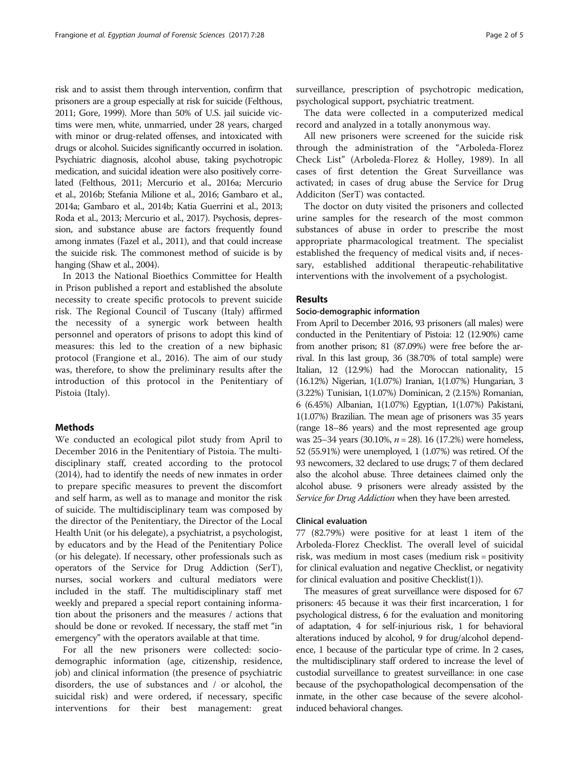risk and to assist them through intervention, confirm that prisoners are a group especially at risk for suicide (Felthous, [2011;](#page-3-0) Gore, [1999](#page-4-0)). More than 50% of U.S. jail suicide victims were men, white, unmarried, under 28 years, charged with minor or drug-related offenses, and intoxicated with drugs or alcohol. Suicides significantly occurred in isolation. Psychiatric diagnosis, alcohol abuse, taking psychotropic medication, and suicidal ideation were also positively correlated (Felthous, [2011;](#page-3-0) Mercurio et al., [2016a;](#page-4-0) Mercurio et al., [2016b](#page-4-0); Stefania Milione et al., [2016](#page-4-0); Gambaro et al., [2014a;](#page-4-0) Gambaro et al., [2014b](#page-4-0); Katia Guerrini et al., [2013](#page-4-0); Roda et al., [2013;](#page-4-0) Mercurio et al., [2017\)](#page-4-0). Psychosis, depression, and substance abuse are factors frequently found among inmates (Fazel et al., [2011](#page-3-0)), and that could increase the suicide risk. The commonest method of suicide is by hanging (Shaw et al., [2004\)](#page-4-0).

In 2013 the National Bioethics Committee for Health in Prison published a report and established the absolute necessity to create specific protocols to prevent suicide risk. The Regional Council of Tuscany (Italy) affirmed the necessity of a synergic work between health personnel and operators of prisons to adopt this kind of measures: this led to the creation of a new biphasic protocol (Frangione et al., [2016\)](#page-4-0). The aim of our study was, therefore, to show the preliminary results after the introduction of this protocol in the Penitentiary of Pistoia (Italy).

## Methods

We conducted an ecological pilot study from April to December 2016 in the Penitentiary of Pistoia. The multidisciplinary staff, created according to the protocol (2014), had to identify the needs of new inmates in order to prepare specific measures to prevent the discomfort and self harm, as well as to manage and monitor the risk of suicide. The multidisciplinary team was composed by the director of the Penitentiary, the Director of the Local Health Unit (or his delegate), a psychiatrist, a psychologist, by educators and by the Head of the Penitentiary Police (or his delegate). If necessary, other professionals such as operators of the Service for Drug Addiction (SerT), nurses, social workers and cultural mediators were included in the staff. The multidisciplinary staff met weekly and prepared a special report containing information about the prisoners and the measures / actions that should be done or revoked. If necessary, the staff met "in emergency" with the operators available at that time.

For all the new prisoners were collected: sociodemographic information (age, citizenship, residence, job) and clinical information (the presence of psychiatric disorders, the use of substances and / or alcohol, the suicidal risk) and were ordered, if necessary, specific interventions for their best management: great surveillance, prescription of psychotropic medication, psychological support, psychiatric treatment.

The data were collected in a computerized medical record and analyzed in a totally anonymous way.

All new prisoners were screened for the suicide risk through the administration of the "Arboleda-Florez Check List" (Arboleda-Florez & Holley, [1989](#page-3-0)). In all cases of first detention the Great Surveillance was activated; in cases of drug abuse the Service for Drug Addiciton (SerT) was contacted.

The doctor on duty visited the prisoners and collected urine samples for the research of the most common substances of abuse in order to prescribe the most appropriate pharmacological treatment. The specialist established the frequency of medical visits and, if necessary, established additional therapeutic-rehabilitative interventions with the involvement of a psychologist.

## Results

## Socio-demographic information

From April to December 2016, 93 prisoners (all males) were conducted in the Penitentiary of Pistoia: 12 (12.90%) came from another prison; 81 (87.09%) were free before the arrival. In this last group, 36 (38.70% of total sample) were Italian, 12 (12.9%) had the Moroccan nationality, 15 (16.12%) Nigerian, 1(1.07%) Iranian, 1(1.07%) Hungarian, 3 (3.22%) Tunisian, 1(1.07%) Dominican, 2 (2.15%) Romanian, 6 (6.45%) Albanian, 1(1.07%) Egyptian, 1(1.07%) Pakistani, 1(1.07%) Brazilian. The mean age of prisoners was 35 years (range 18–86 years) and the most represented age group was 25–34 years (30.10%,  $n = 28$ ). 16 (17.2%) were homeless, 52 (55.91%) were unemployed, 1 (1.07%) was retired. Of the 93 newcomers, 32 declared to use drugs; 7 of them declared also the alcohol abuse. Three detainees claimed only the alcohol abuse. 9 prisoners were already assisted by the Service for Drug Addiction when they have been arrested.

## Clinical evaluation

77 (82.79%) were positive for at least 1 item of the Arboleda-Florez Checklist. The overall level of suicidal risk, was medium in most cases (medium risk = positivity for clinical evaluation and negative Checklist, or negativity for clinical evaluation and positive Checklist(1)).

The measures of great surveillance were disposed for 67 prisoners: 45 because it was their first incarceration, 1 for psychological distress, 6 for the evaluation and monitoring of adaptation, 4 for self-injurious risk, 1 for behavioral alterations induced by alcohol, 9 for drug/alcohol dependence, 1 because of the particular type of crime. In 2 cases, the multidisciplinary staff ordered to increase the level of custodial surveillance to greatest surveillance: in one case because of the psychopathological decompensation of the inmate, in the other case because of the severe alcoholinduced behavioral changes.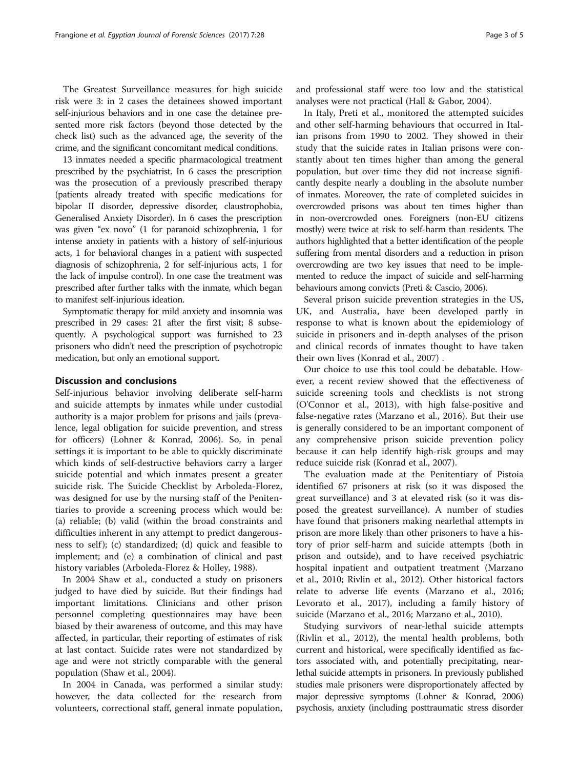The Greatest Surveillance measures for high suicide risk were 3: in 2 cases the detainees showed important self-injurious behaviors and in one case the detainee presented more risk factors (beyond those detected by the check list) such as the advanced age, the severity of the crime, and the significant concomitant medical conditions.

13 inmates needed a specific pharmacological treatment prescribed by the psychiatrist. In 6 cases the prescription was the prosecution of a previously prescribed therapy (patients already treated with specific medications for bipolar II disorder, depressive disorder, claustrophobia, Generalised Anxiety Disorder). In 6 cases the prescription was given "ex novo" (1 for paranoid schizophrenia, 1 for intense anxiety in patients with a history of self-injurious acts, 1 for behavioral changes in a patient with suspected diagnosis of schizophrenia, 2 for self-injurious acts, 1 for the lack of impulse control). In one case the treatment was prescribed after further talks with the inmate, which began to manifest self-injurious ideation.

Symptomatic therapy for mild anxiety and insomnia was prescribed in 29 cases: 21 after the first visit; 8 subsequently. A psychological support was furnished to 23 prisoners who didn't need the prescription of psychotropic medication, but only an emotional support.

## Discussion and conclusions

Self-injurious behavior involving deliberate self-harm and suicide attempts by inmates while under custodial authority is a major problem for prisons and jails (prevalence, legal obligation for suicide prevention, and stress for officers) (Lohner & Konrad, [2006](#page-4-0)). So, in penal settings it is important to be able to quickly discriminate which kinds of self-destructive behaviors carry a larger suicide potential and which inmates present a greater suicide risk. The Suicide Checklist by Arboleda-Florez, was designed for use by the nursing staff of the Penitentiaries to provide a screening process which would be: (a) reliable; (b) valid (within the broad constraints and difficulties inherent in any attempt to predict dangerousness to self); (c) standardized; (d) quick and feasible to implement; and (e) a combination of clinical and past history variables (Arboleda-Florez & Holley, [1988\)](#page-3-0).

In 2004 Shaw et al., conducted a study on prisoners judged to have died by suicide. But their findings had important limitations. Clinicians and other prison personnel completing questionnaires may have been biased by their awareness of outcome, and this may have affected, in particular, their reporting of estimates of risk at last contact. Suicide rates were not standardized by age and were not strictly comparable with the general population (Shaw et al., [2004\)](#page-4-0).

In 2004 in Canada, was performed a similar study: however, the data collected for the research from volunteers, correctional staff, general inmate population, and professional staff were too low and the statistical analyses were not practical (Hall & Gabor, [2004](#page-4-0)).

In Italy, Preti et al., monitored the attempted suicides and other self-harming behaviours that occurred in Italian prisons from 1990 to 2002. They showed in their study that the suicide rates in Italian prisons were constantly about ten times higher than among the general population, but over time they did not increase significantly despite nearly a doubling in the absolute number of inmates. Moreover, the rate of completed suicides in overcrowded prisons was about ten times higher than in non-overcrowded ones. Foreigners (non-EU citizens mostly) were twice at risk to self-harm than residents. The authors highlighted that a better identification of the people suffering from mental disorders and a reduction in prison overcrowding are two key issues that need to be implemented to reduce the impact of suicide and self-harming behaviours among convicts (Preti & Cascio, [2006\)](#page-4-0).

Several prison suicide prevention strategies in the US, UK, and Australia, have been developed partly in response to what is known about the epidemiology of suicide in prisoners and in-depth analyses of the prison and clinical records of inmates thought to have taken their own lives (Konrad et al., [2007\)](#page-4-0) .

Our choice to use this tool could be debatable. However, a recent review showed that the effectiveness of suicide screening tools and checklists is not strong (O'Connor et al., [2013](#page-4-0)), with high false-positive and false-negative rates (Marzano et al., [2016](#page-4-0)). But their use is generally considered to be an important component of any comprehensive prison suicide prevention policy because it can help identify high-risk groups and may reduce suicide risk (Konrad et al., [2007\)](#page-4-0).

The evaluation made at the Penitentiary of Pistoia identified 67 prisoners at risk (so it was disposed the great surveillance) and 3 at elevated risk (so it was disposed the greatest surveillance). A number of studies have found that prisoners making nearlethal attempts in prison are more likely than other prisoners to have a history of prior self-harm and suicide attempts (both in prison and outside), and to have received psychiatric hospital inpatient and outpatient treatment (Marzano et al., [2010](#page-4-0); Rivlin et al., [2012\)](#page-4-0). Other historical factors relate to adverse life events (Marzano et al., [2016](#page-4-0); Levorato et al., [2017](#page-4-0)), including a family history of suicide (Marzano et al., [2016;](#page-4-0) Marzano et al., [2010\)](#page-4-0).

Studying survivors of near-lethal suicide attempts (Rivlin et al., [2012](#page-4-0)), the mental health problems, both current and historical, were specifically identified as factors associated with, and potentially precipitating, nearlethal suicide attempts in prisoners. In previously published studies male prisoners were disproportionately affected by major depressive symptoms (Lohner & Konrad, [2006](#page-4-0)) psychosis, anxiety (including posttraumatic stress disorder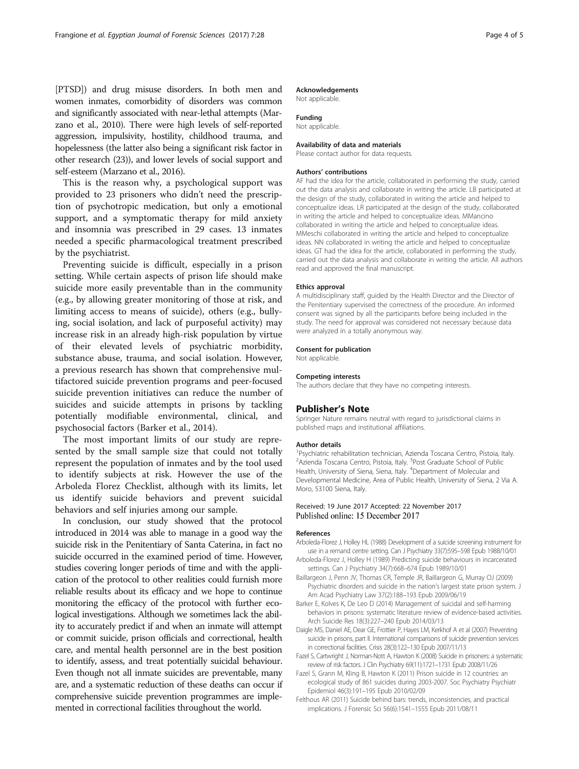<span id="page-3-0"></span>[PTSD]) and drug misuse disorders. In both men and women inmates, comorbidity of disorders was common and significantly associated with near-lethal attempts (Marzano et al., [2010\)](#page-4-0). There were high levels of self-reported aggression, impulsivity, hostility, childhood trauma, and hopelessness (the latter also being a significant risk factor in other research (23)), and lower levels of social support and self-esteem (Marzano et al., [2016](#page-4-0)).

This is the reason why, a psychological support was provided to 23 prisoners who didn't need the prescription of psychotropic medication, but only a emotional support, and a symptomatic therapy for mild anxiety and insomnia was prescribed in 29 cases. 13 inmates needed a specific pharmacological treatment prescribed by the psychiatrist.

Preventing suicide is difficult, especially in a prison setting. While certain aspects of prison life should make suicide more easily preventable than in the community (e.g., by allowing greater monitoring of those at risk, and limiting access to means of suicide), others (e.g., bullying, social isolation, and lack of purposeful activity) may increase risk in an already high-risk population by virtue of their elevated levels of psychiatric morbidity, substance abuse, trauma, and social isolation. However, a previous research has shown that comprehensive multifactored suicide prevention programs and peer-focused suicide prevention initiatives can reduce the number of suicides and suicide attempts in prisons by tackling potentially modifiable environmental, clinical, and psychosocial factors (Barker et al., 2014).

The most important limits of our study are represented by the small sample size that could not totally represent the population of inmates and by the tool used to identify subjects at risk. However the use of the Arboleda Florez Checklist, although with its limits, let us identify suicide behaviors and prevent suicidal behaviors and self injuries among our sample.

In conclusion, our study showed that the protocol introduced in 2014 was able to manage in a good way the suicide risk in the Penitentiary of Santa Caterina, in fact no suicide occurred in the examined period of time. However, studies covering longer periods of time and with the application of the protocol to other realities could furnish more reliable results about its efficacy and we hope to continue monitoring the efficacy of the protocol with further ecological investigations. Although we sometimes lack the ability to accurately predict if and when an inmate will attempt or commit suicide, prison officials and correctional, health care, and mental health personnel are in the best position to identify, assess, and treat potentially suicidal behaviour. Even though not all inmate suicides are preventable, many are, and a systematic reduction of these deaths can occur if comprehensive suicide prevention programmes are implemented in correctional facilities throughout the world.

#### Acknowledgements

Not applicable.

### Funding

Not applicable.

## Availability of data and materials

Please contact author for data requests.

#### Authors' contributions

AF had the idea for the article, collaborated in performing the study, carried out the data analysis and collaborate in writing the article. LB participated at the design of the study, collaborated in writing the article and helped to conceptualize ideas. LR participated at the design of the study, collaborated in writing the article and helped to conceptualize ideas. MMancino collaborated in writing the article and helped to conceptualize ideas. MMeschi collaborated in writing the article and helped to conceptualize ideas. NN collaborated in writing the article and helped to conceptualize ideas. GT had the idea for the article, collaborated in performing the study, carried out the data analysis and collaborate in writing the article. All authors read and approved the final manuscript.

#### Ethics approval

A multidisciplinary staff, guided by the Health Director and the Director of the Penitentiary supervised the correctness of the procedure. An informed consent was signed by all the participants before being included in the study. The need for approval was considered not necessary because data were analyzed in a totally anonymous way.

#### Consent for publication

Not applicable.

#### Competing interests

The authors declare that they have no competing interests.

#### Publisher's Note

Springer Nature remains neutral with regard to jurisdictional claims in published maps and institutional affiliations.

#### Author details

<sup>1</sup>Psychiatric rehabilitation technician, Azienda Toscana Centro, Pistoia, Italy. <sup>2</sup>Azienda Toscana Centro, Pistoia, Italy. <sup>3</sup>Post Graduate School of Public<br>Health, University of Siena, Siena, Italy. <sup>4</sup>Department of Molecular and Developmental Medicine, Area of Public Health, University of Siena, 2 Via A. Moro, 53100 Siena, Italy.

#### Received: 19 June 2017 Accepted: 22 November 2017 Published online: 15 December 2017

#### References

- Arboleda-Florez J, Holley HL (1988) Development of a suicide screening instrument for use in a remand centre setting. Can J Psychiatry 33(7):595–598 Epub 1988/10/01
- Arboleda-Florez J, Holley H (1989) Predicting suicide behaviours in incarcerated settings. Can J Psychiatry 34(7):668–674 Epub 1989/10/01
- Baillargeon J, Penn JV, Thomas CR, Temple JR, Baillargeon G, Murray OJ (2009) Psychiatric disorders and suicide in the nation's largest state prison system. J Am Acad Psychiatry Law 37(2):188–193 Epub 2009/06/19
- Barker E, Kolves K, De Leo D (2014) Management of suicidal and self-harming behaviors in prisons: systematic literature review of evidence-based activities. Arch Suicide Res 18(3):227–240 Epub 2014/03/13
- Daigle MS, Daniel AE, Dear GE, Frottier P, Hayes LM, Kerkhof A et al (2007) Preventing suicide in prisons, part II. International comparisons of suicide prevention services in correctional facilities. Crisis 28(3):122–130 Epub 2007/11/13
- Fazel S, Cartwright J, Norman-Nott A, Hawton K (2008) Suicide in prisoners: a systematic review of risk factors. J Clin Psychiatry 69(11):1721–1731 Epub 2008/11/26
- Fazel S, Grann M, Kling B, Hawton K (2011) Prison suicide in 12 countries: an ecological study of 861 suicides during 2003-2007. Soc Psychiatry Psychiatr Epidemiol 46(3):191–195 Epub 2010/02/09
- Felthous AR (2011) Suicide behind bars: trends, inconsistencies, and practical implications. J Forensic Sci 56(6):1541–1555 Epub 2011/08/11